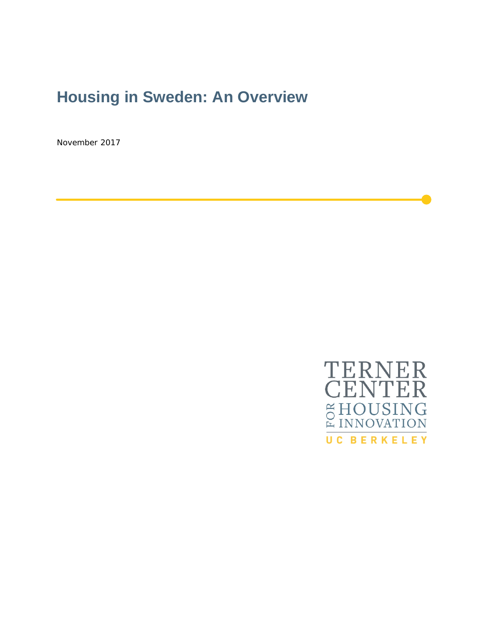# **Housing in Sweden: An Overview**

November 2017

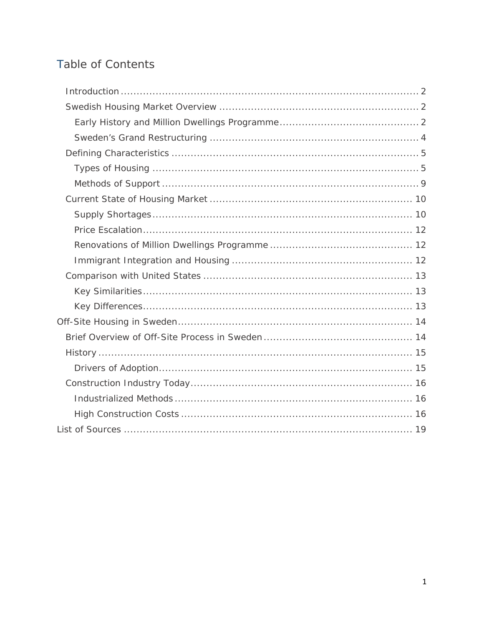# Table of Contents

<span id="page-1-0"></span>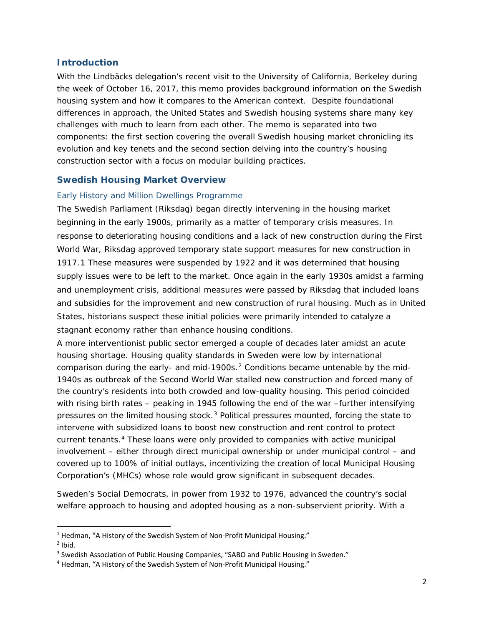## **Introduction**

With the Lindbäcks delegation's recent visit to the University of California, Berkeley during the week of October 16, 2017, this memo provides background information on the Swedish housing system and how it compares to the American context. Despite foundational differences in approach, the United States and Swedish housing systems share many key challenges with much to learn from each other. The memo is separated into two components: the first section covering the overall Swedish housing market chronicling its evolution and key tenets and the second section delving into the country's housing construction sector with a focus on modular building practices.

# <span id="page-2-0"></span>**Swedish Housing Market Overview**

# <span id="page-2-1"></span>*Early History and Million Dwellings Programme*

The Swedish Parliament (Riksdag) began directly intervening in the housing market beginning in the early 1900s, primarily as a matter of temporary crisis measures. In response to deteriorating housing conditions and a lack of new construction during the First World War, Riksdag approved temporary state support measures for new construction in 1917.[1](#page-2-2) These measures were suspended by 1922 and it was determined that housing supply issues were to be left to the market. Once again in the early 1930s amidst a farming and unemployment crisis, additional measures were passed by Riksdag that included loans and subsidies for the improvement and new construction of rural housing. Much as in United States, historians suspect these initial policies were primarily intended to catalyze a stagnant economy rather than enhance housing conditions.

A more interventionist public sector emerged a couple of decades later amidst an acute housing shortage. Housing quality standards in Sweden were low by international comparison during the early- and mid-1900s.<sup>[2](#page-2-3)</sup> Conditions became untenable by the mid-1940s as outbreak of the Second World War stalled new construction and forced many of the country's residents into both crowded and low-quality housing. This period coincided with rising birth rates – peaking in 1945 following the end of the war –further intensifying pressures on the limited housing stock. $3$  Political pressures mounted, forcing the state to intervene with subsidized loans to boost new construction and rent control to protect current tenants.[4](#page-2-5) These loans were only provided to companies with active municipal involvement – either through direct municipal ownership or under municipal control – and covered up to 100% of initial outlays, incentivizing the creation of local Municipal Housing Corporation's (MHCs) whose role would grow significant in subsequent decades.

Sweden's Social Democrats, in power from 1932 to 1976, advanced the country's social welfare approach to housing and adopted housing as a non-subservient priority. With a

<span id="page-2-2"></span><sup>&</sup>lt;sup>1</sup> Hedman, "A History of the Swedish System of Non-Profit Municipal Housing."

<span id="page-2-3"></span> $<sup>2</sup>$  Ibid.</sup>

<span id="page-2-4"></span><sup>&</sup>lt;sup>3</sup> Swedish Association of Public Housing Companies, "SABO and Public Housing in Sweden."

<span id="page-2-5"></span><sup>4</sup> Hedman, "A History of the Swedish System of Non-Profit Municipal Housing."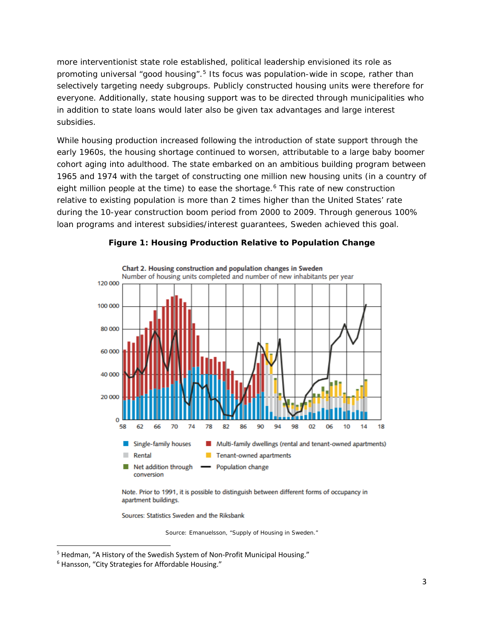more interventionist state role established, political leadership envisioned its role as promoting universal "good housing".<sup>[5](#page-3-1)</sup> Its focus was population-wide in scope, rather than selectively targeting needy subgroups. Publicly constructed housing units were therefore for everyone. Additionally, state housing support was to be directed through municipalities who in addition to state loans would later also be given tax advantages and large interest subsidies.

While housing production increased following the introduction of state support through the early 1960s, the housing shortage continued to worsen, attributable to a large baby boomer cohort aging into adulthood. The state embarked on an ambitious building program between 1965 and 1974 with the target of constructing one million new housing units (in a country of eight million people at the time) to ease the shortage.<sup>[6](#page-3-2)</sup> This rate of new construction relative to existing population is more than 2 times higher than the United States' rate during the 10-year construction boom period from 2000 to 2009. Through generous 100% loan programs and interest subsidies/interest guarantees, Sweden achieved this goal.



## **Figure 1: Housing Production Relative to Population Change**

Note. Prior to 1991, it is possible to distinguish between different forms of occupancy in apartment buildings.

Sources: Statistics Sweden and the Riksbank

<span id="page-3-0"></span>*Source: Emanuelsson, "Supply of Housing in Sweden."*

<span id="page-3-1"></span> <sup>5</sup> Hedman, "A History of the Swedish System of Non-Profit Municipal Housing."

<span id="page-3-2"></span><sup>6</sup> Hansson, "City Strategies for Affordable Housing."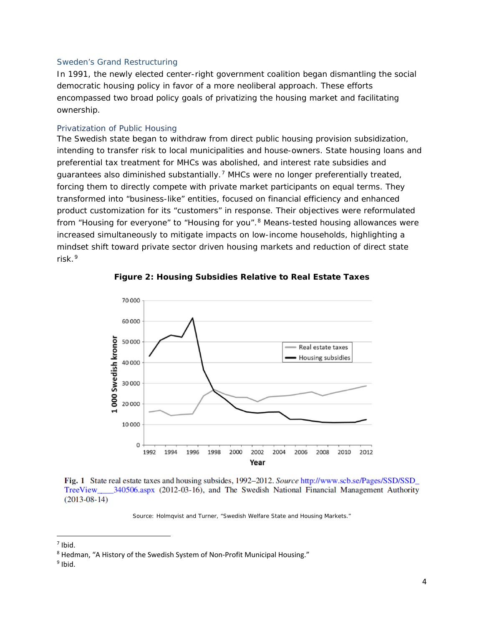#### *Sweden's Grand Restructuring*

In 1991, the newly elected center-right government coalition began dismantling the social democratic housing policy in favor of a more neoliberal approach. These efforts encompassed two broad policy goals of privatizing the housing market and facilitating ownership.

#### Privatization of Public Housing

The Swedish state began to withdraw from direct public housing provision subsidization, intending to transfer risk to local municipalities and house-owners. State housing loans and preferential tax treatment for MHCs was abolished, and interest rate subsidies and guarantees also diminished substantially.[7](#page-4-0) MHCs were no longer preferentially treated, forcing them to directly compete with private market participants on equal terms. They transformed into "business-like" entities, focused on financial efficiency and enhanced product customization for its "customers" in response. Their objectives were reformulated from "Housing for everyone" to "Housing for you".<sup>[8](#page-4-1)</sup> Means-tested housing allowances were increased simultaneously to mitigate impacts on low-income households, highlighting a mindset shift toward private sector driven housing markets and reduction of direct state risk.[9](#page-4-2)



**Figure 2: Housing Subsidies Relative to Real Estate Taxes**

Fig. 1 State real estate taxes and housing subsides, 1992-2012. Source http://www.scb.se/Pages/SSD/SSD TreeView \_\_\_\_\_ 340506.aspx (2012-03-16), and The Swedish National Financial Management Authority  $(2013-08-14)$ 

*Source: Holmqvist and Turner, "Swedish Welfare State and Housing Markets."*

<span id="page-4-0"></span> $<sup>7</sup>$  Ibid.</sup>

<span id="page-4-1"></span><sup>8</sup> Hedman, "A History of the Swedish System of Non-Profit Municipal Housing."

<span id="page-4-2"></span> $9$  Ibid.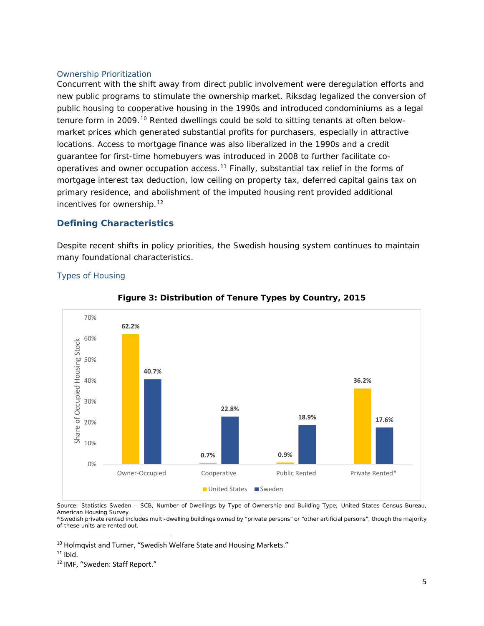#### Ownership Prioritization

Concurrent with the shift away from direct public involvement were deregulation efforts and new public programs to stimulate the ownership market. Riksdag legalized the conversion of public housing to cooperative housing in the 1990s and introduced condominiums as a legal tenure form in 2009.<sup>[10](#page-5-2)</sup> Rented dwellings could be sold to sitting tenants at often belowmarket prices which generated substantial profits for purchasers, especially in attractive locations. Access to mortgage finance was also liberalized in the 1990s and a credit guarantee for first-time homebuyers was introduced in 2008 to further facilitate co-operatives and owner occupation access.<sup>[11](#page-5-3)</sup> Finally, substantial tax relief in the forms of mortgage interest tax deduction, low ceiling on property tax, deferred capital gains tax on primary residence, and abolishment of the imputed housing rent provided additional incentives for ownership.[12](#page-5-4)

# <span id="page-5-0"></span>**Defining Characteristics**

<span id="page-5-1"></span>*Types of Housing*

Despite recent shifts in policy priorities, the Swedish housing system continues to maintain many foundational characteristics.



# **Figure 3: Distribution of Tenure Types by Country, 2015**

*Source: Statistics Sweden – SCB, Number of Dwellings by Type of Ownership and Building Type; United States Census Bureau, American Housing Survey*

*\*Swedish private rented includes multi-dwelling buildings owned by "private persons" or "other artificial persons", though the majority of these units are rented out.*

<span id="page-5-2"></span><sup>10</sup> Holmqvist and Turner, "Swedish Welfare State and Housing Markets."

<span id="page-5-3"></span> $11$  Ibid.

<span id="page-5-4"></span><sup>12</sup> IMF, "Sweden: Staff Report."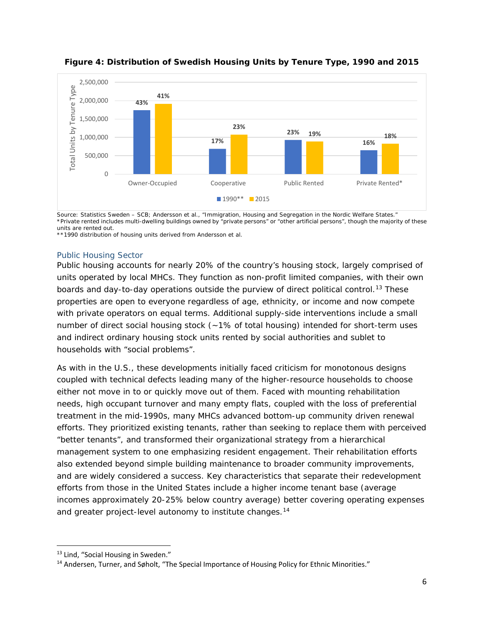

**Figure 4: Distribution of Swedish Housing Units by Tenure Type, 1990 and 2015**

*Source: Statistics Sweden – SCB; Andersson et al., "Immigration, Housing and Segregation in the Nordic Welfare States." \*Private rented includes multi-dwelling buildings owned by "private persons" or "other artificial persons", though the majority of these units are rented out.*

*\*\*1990 distribution of housing units derived from Andersson et al.*

#### Public Housing Sector

Public housing accounts for nearly 20% of the country's housing stock, largely comprised of units operated by local MHCs. They function as non-profit limited companies, with their own boards and day-to-day operations outside the purview of direct political control.<sup>[13](#page-6-0)</sup> These properties are open to everyone regardless of age, ethnicity, or income and now compete with private operators on equal terms. Additional supply-side interventions include a small number of direct social housing stock (~1% of total housing) intended for short-term uses and indirect ordinary housing stock units rented by social authorities and sublet to households with "social problems".

As with in the U.S., these developments initially faced criticism for monotonous designs coupled with technical defects leading many of the higher-resource households to choose either not move in to or quickly move out of them. Faced with mounting rehabilitation needs, high occupant turnover and many empty flats, coupled with the loss of preferential treatment in the mid-1990s, many MHCs advanced bottom-up community driven renewal efforts. They prioritized existing tenants, rather than seeking to replace them with perceived "better tenants", and transformed their organizational strategy from a hierarchical management system to one emphasizing resident engagement. Their rehabilitation efforts also extended beyond simple building maintenance to broader community improvements, and are widely considered a success. Key characteristics that separate their redevelopment efforts from those in the United States include a higher income tenant base (average incomes approximately 20-25% below country average) better covering operating expenses and greater project-level autonomy to institute changes.<sup>[14](#page-6-1)</sup>

<span id="page-6-0"></span><sup>&</sup>lt;sup>13</sup> Lind, "Social Housing in Sweden."

<span id="page-6-1"></span><sup>&</sup>lt;sup>14</sup> Andersen, Turner, and Søholt, "The Special Importance of Housing Policy for Ethnic Minorities."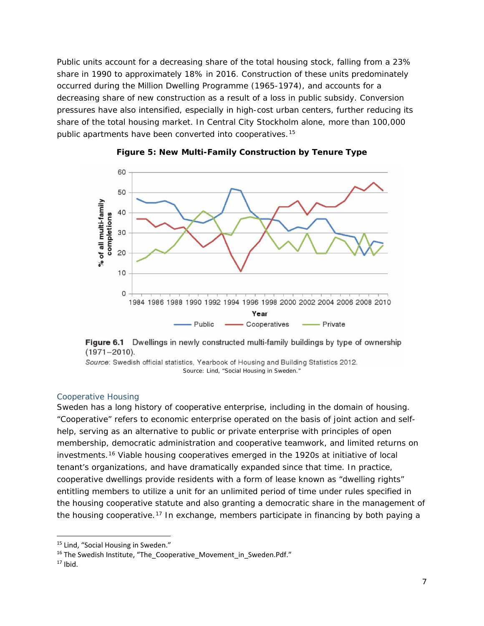Public units account for a decreasing share of the total housing stock, falling from a 23% share in 1990 to approximately 18% in 2016. Construction of these units predominately occurred during the Million Dwelling Programme (1965-1974), and accounts for a decreasing share of new construction as a result of a loss in public subsidy. Conversion pressures have also intensified, especially in high-cost urban centers, further reducing its share of the total housing market. In Central City Stockholm alone, more than 100,000 public apartments have been converted into cooperatives.[15](#page-7-0)





Figure 6.1 Dwellings in newly constructed multi-family buildings by type of ownership  $(1971 - 2010).$ 

Source: Swedish official statistics, Yearbook of Housing and Building Statistics 2012. *Source: Lind, "Social Housing in Sweden."*

#### Cooperative Housing

Sweden has a long history of cooperative enterprise, including in the domain of housing. "Cooperative" refers to economic enterprise operated on the basis of joint action and selfhelp, serving as an alternative to public or private enterprise with principles of open membership, democratic administration and cooperative teamwork, and limited returns on investments.[16](#page-7-1) Viable housing cooperatives emerged in the 1920s at initiative of local tenant's organizations, and have dramatically expanded since that time. In practice, cooperative dwellings provide residents with a form of lease known as "dwelling rights" entitling members to utilize a unit for an unlimited period of time under rules specified in the housing cooperative statute and also granting a democratic share in the management of the housing cooperative.[17](#page-7-2) In exchange, members participate in financing by both paying a

<span id="page-7-0"></span><sup>&</sup>lt;sup>15</sup> Lind, "Social Housing in Sweden."

<span id="page-7-1"></span><sup>&</sup>lt;sup>16</sup> The Swedish Institute, "The Cooperative Movement in Sweden.Pdf."

<span id="page-7-2"></span> $17$  Ibid.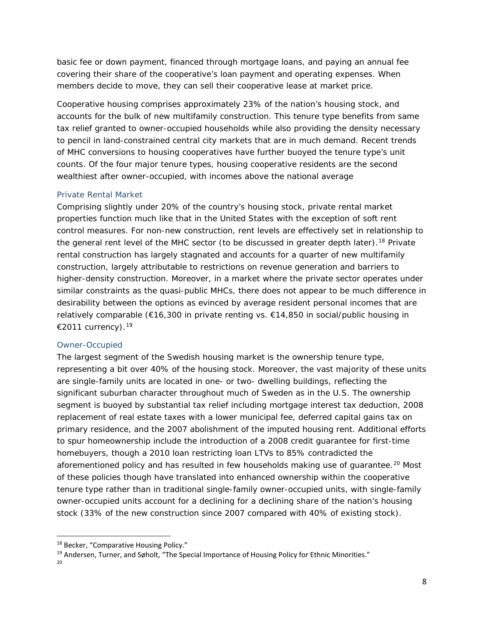basic fee or down payment, financed through mortgage loans, and paying an annual fee covering their share of the cooperative's loan payment and operating expenses. When members decide to move, they can sell their cooperative lease at market price.

Cooperative housing comprises approximately 23% of the nation's housing stock, and accounts for the bulk of new multifamily construction. This tenure type benefits from same tax relief granted to owner-occupied households while also providing the density necessary to pencil in land-constrained central city markets that are in much demand. Recent trends of MHC conversions to housing cooperatives have further buoyed the tenure type's unit counts. Of the four major tenure types, housing cooperative residents are the second wealthiest after owner-occupied, with incomes above the national average

## Private Rental Market

Comprising slightly under 20% of the country's housing stock, private rental market properties function much like that in the United States with the exception of soft rent control measures. For non-new construction, rent levels are effectively set in relationship to the general rent level of the MHC sector (to be discussed in greater depth later).<sup>[18](#page-8-0)</sup> Private rental construction has largely stagnated and accounts for a quarter of new multifamily construction, largely attributable to restrictions on revenue generation and barriers to higher-density construction. Moreover, in a market where the private sector operates under similar constraints as the quasi-public MHCs, there does not appear to be much difference in desirability between the options as evinced by average resident personal incomes that are relatively comparable (€16,300 in private renting vs. €14,850 in social/public housing in €2011 currency).<sup>19</sup>

## *Owner-Occupied*

The largest segment of the Swedish housing market is the ownership tenure type, representing a bit over 40% of the housing stock. Moreover, the vast majority of these units are single-family units are located in one- or two- dwelling buildings, reflecting the significant suburban character throughout much of Sweden as in the U.S. The ownership segment is buoyed by substantial tax relief including mortgage interest tax deduction, 2008 replacement of real estate taxes with a lower municipal fee, deferred capital gains tax on primary residence, and the 2007 abolishment of the imputed housing rent. Additional efforts to spur homeownership include the introduction of a 2008 credit guarantee for first-time homebuyers, though a 2010 loan restricting loan LTVs to 85% contradicted the aforementioned policy and has resulted in few households making use of quarantee.<sup>[20](#page-8-2)</sup> Most of these policies though have translated into enhanced ownership within the cooperative tenure type rather than in traditional single-family owner-occupied units, with single-family owner-occupied units account for a declining for a declining share of the nation's housing stock (33% of the new construction since 2007 compared with 40% of existing stock).

<span id="page-8-1"></span><sup>19</sup> Andersen, Turner, and Søholt, "The Special Importance of Housing Policy for Ethnic Minorities."

<span id="page-8-0"></span><sup>&</sup>lt;sup>18</sup> Becker, "Comparative Housing Policy."

<span id="page-8-2"></span> $20$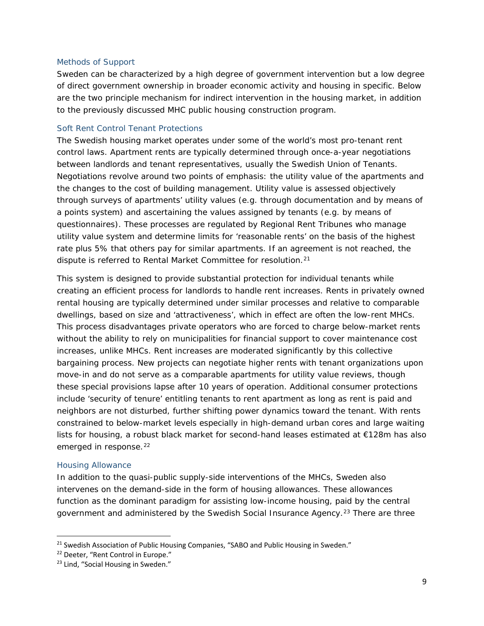#### <span id="page-9-0"></span>*Methods of Support*

Sweden can be characterized by a high degree of government intervention but a low degree of direct government ownership in broader economic activity and housing in specific. Below are the two principle mechanism for indirect intervention in the housing market, in addition to the previously discussed MHC public housing construction program.

## Soft Rent Control Tenant Protections

The Swedish housing market operates under some of the world's most pro-tenant rent control laws. Apartment rents are typically determined through once-a-year negotiations between landlords and tenant representatives, usually the Swedish Union of Tenants. Negotiations revolve around two points of emphasis: the utility value of the apartments and the changes to the cost of building management. Utility value is assessed objectively through surveys of apartments' utility values (e.g. through documentation and by means of a points system) and ascertaining the values assigned by tenants (e.g. by means of questionnaires). These processes are regulated by Regional Rent Tribunes who manage utility value system and determine limits for 'reasonable rents' on the basis of the highest rate plus 5% that others pay for similar apartments. If an agreement is not reached, the dispute is referred to Rental Market Committee for resolution.<sup>[21](#page-9-1)</sup>

This system is designed to provide substantial protection for individual tenants while creating an efficient process for landlords to handle rent increases. Rents in privately owned rental housing are typically determined under similar processes and relative to comparable dwellings, based on size and 'attractiveness', which in effect are often the low-rent MHCs. This process disadvantages private operators who are forced to charge below-market rents without the ability to rely on municipalities for financial support to cover maintenance cost increases, unlike MHCs. Rent increases are moderated significantly by this collective bargaining process. New projects can negotiate higher rents with tenant organizations upon move-in and do not serve as a comparable apartments for utility value reviews, though these special provisions lapse after 10 years of operation. Additional consumer protections include 'security of tenure' entitling tenants to rent apartment as long as rent is paid and neighbors are not disturbed, further shifting power dynamics toward the tenant. With rents constrained to below-market levels especially in high-demand urban cores and large waiting lists for housing, a robust black market for second-hand leases estimated at €128m has also emerged in response.<sup>[22](#page-9-2)</sup>

#### Housing Allowance

In addition to the quasi-public supply-side interventions of the MHCs, Sweden also intervenes on the demand-side in the form of housing allowances. These allowances function as the dominant paradigm for assisting low-income housing, paid by the central government and administered by the Swedish Social Insurance Agency.<sup>[23](#page-9-3)</sup> There are three

<span id="page-9-1"></span><sup>&</sup>lt;sup>21</sup> Swedish Association of Public Housing Companies, "SABO and Public Housing in Sweden."

<span id="page-9-2"></span><sup>&</sup>lt;sup>22</sup> Deeter, "Rent Control in Europe."

<span id="page-9-3"></span><sup>&</sup>lt;sup>23</sup> Lind, "Social Housing in Sweden."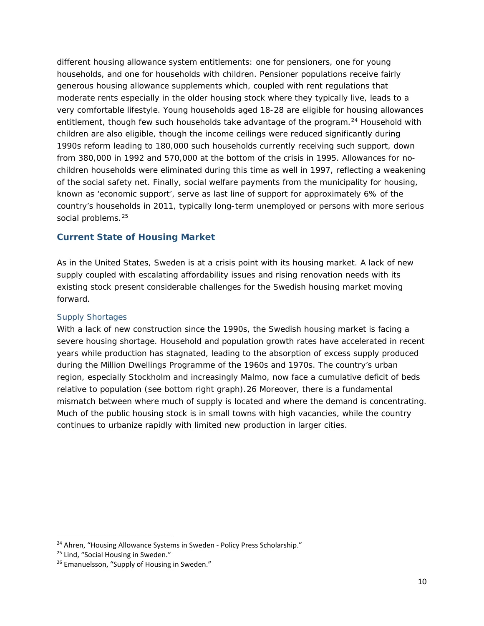different housing allowance system entitlements: one for pensioners, one for young households, and one for households with children. Pensioner populations receive fairly generous housing allowance supplements which, coupled with rent regulations that moderate rents especially in the older housing stock where they typically live, leads to a very comfortable lifestyle. Young households aged 18-28 are eligible for housing allowances entitlement, though few such households take advantage of the program.<sup>[24](#page-10-2)</sup> Household with children are also eligible, though the income ceilings were reduced significantly during 1990s reform leading to 180,000 such households currently receiving such support, down from 380,000 in 1992 and 570,000 at the bottom of the crisis in 1995. Allowances for nochildren households were eliminated during this time as well in 1997, reflecting a weakening of the social safety net. Finally, social welfare payments from the municipality for housing, known as 'economic support', serve as last line of support for approximately 6% of the country's households in 2011, typically long-term unemployed or persons with more serious social problems.<sup>[25](#page-10-3)</sup>

# <span id="page-10-0"></span>**Current State of Housing Market**

As in the United States, Sweden is at a crisis point with its housing market. A lack of new supply coupled with escalating affordability issues and rising renovation needs with its existing stock present considerable challenges for the Swedish housing market moving forward.

## <span id="page-10-1"></span>*Supply Shortages*

With a lack of new construction since the 1990s, the Swedish housing market is facing a severe housing shortage. Household and population growth rates have accelerated in recent years while production has stagnated, leading to the absorption of excess supply produced during the Million Dwellings Programme of the 1960s and 1970s. The country's urban region, especially Stockholm and increasingly Malmo, now face a cumulative deficit of beds relative to population (see bottom right graph).[26](#page-10-4) Moreover, there is a fundamental mismatch between where much of supply is located and where the demand is concentrating. Much of the public housing stock is in small towns with high vacancies, while the country continues to urbanize rapidly with limited new production in larger cities.

<span id="page-10-2"></span><sup>&</sup>lt;sup>24</sup> Ahren, "Housing Allowance Systems in Sweden - Policy Press Scholarship."

<span id="page-10-3"></span><sup>&</sup>lt;sup>25</sup> Lind, "Social Housing in Sweden."

<span id="page-10-4"></span><sup>&</sup>lt;sup>26</sup> Emanuelsson, "Supply of Housing in Sweden."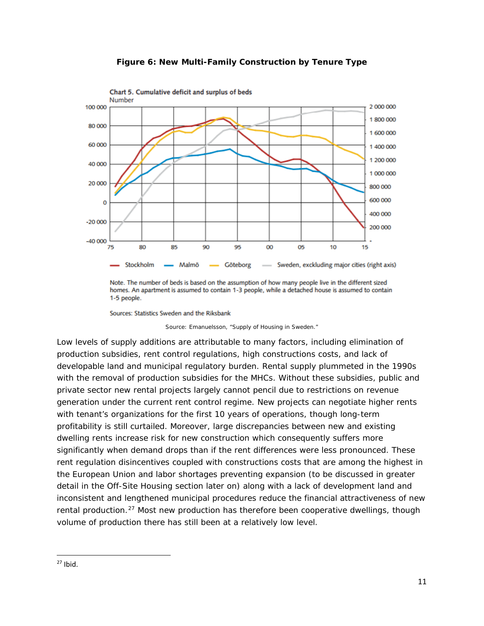

# **Figure 6: New Multi-Family Construction by Tenure Type**

Sources: Statistics Sweden and the Riksbank

*Source: Emanuelsson, "Supply of Housing in Sweden."*

Low levels of supply additions are attributable to many factors, including elimination of production subsidies, rent control regulations, high constructions costs, and lack of developable land and municipal regulatory burden. Rental supply plummeted in the 1990s with the removal of production subsidies for the MHCs. Without these subsidies, public and private sector new rental projects largely cannot pencil due to restrictions on revenue generation under the current rent control regime. New projects can negotiate higher rents with tenant's organizations for the first 10 years of operations, though long-term profitability is still curtailed. Moreover, large discrepancies between new and existing dwelling rents increase risk for new construction which consequently suffers more significantly when demand drops than if the rent differences were less pronounced. These rent regulation disincentives coupled with constructions costs that are among the highest in the European Union and labor shortages preventing expansion (to be discussed in greater detail in the Off-Site Housing section later on) along with a lack of development land and inconsistent and lengthened municipal procedures reduce the financial attractiveness of new rental production.<sup>[27](#page-11-0)</sup> Most new production has therefore been cooperative dwellings, though volume of production there has still been at a relatively low level.

Note. The number of beds is based on the assumption of how many people live in the different sized homes. An apartment is assumed to contain 1-3 people, while a detached house is assumed to contain 1-5 people.

<span id="page-11-0"></span> $27$  Ibid.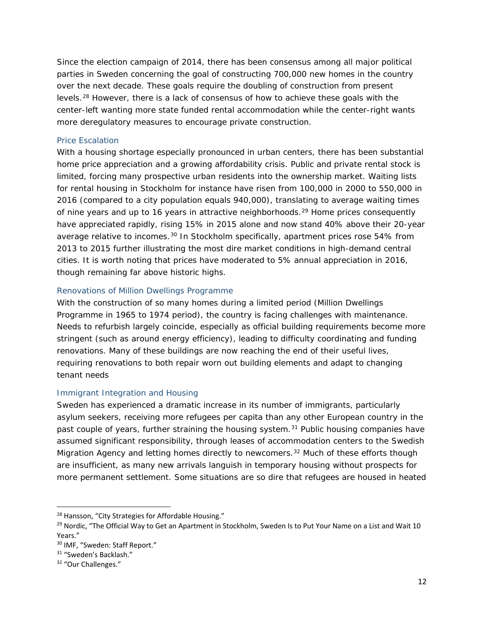Since the election campaign of 2014, there has been consensus among all major political parties in Sweden concerning the goal of constructing 700,000 new homes in the country over the next decade. These goals require the doubling of construction from present levels.[28](#page-12-3) However, there is a lack of consensus of how to achieve these goals with the center-left wanting more state funded rental accommodation while the center-right wants more deregulatory measures to encourage private construction.

# <span id="page-12-0"></span>*Price Escalation*

With a housing shortage especially pronounced in urban centers, there has been substantial home price appreciation and a growing affordability crisis. Public and private rental stock is limited, forcing many prospective urban residents into the ownership market. Waiting lists for rental housing in Stockholm for instance have risen from 100,000 in 2000 to 550,000 in 2016 (compared to a city population equals 940,000), translating to average waiting times of nine years and up to 16 years in attractive neighborhoods.<sup>[29](#page-12-4)</sup> Home prices consequently have appreciated rapidly, rising 15% in 2015 alone and now stand 40% above their 20-year average relative to incomes.<sup>[30](#page-12-5)</sup> In Stockholm specifically, apartment prices rose 54% from 2013 to 2015 further illustrating the most dire market conditions in high-demand central cities. It is worth noting that prices have moderated to 5% annual appreciation in 2016, though remaining far above historic highs.

# <span id="page-12-1"></span>*Renovations of Million Dwellings Programme*

With the construction of so many homes during a limited period (Million Dwellings Programme in 1965 to 1974 period), the country is facing challenges with maintenance. Needs to refurbish largely coincide, especially as official building requirements become more stringent (such as around energy efficiency), leading to difficulty coordinating and funding renovations. Many of these buildings are now reaching the end of their useful lives, requiring renovations to both repair worn out building elements and adapt to changing tenant needs

# <span id="page-12-2"></span>*Immigrant Integration and Housing*

Sweden has experienced a dramatic increase in its number of immigrants, particularly asylum seekers, receiving more refugees per capita than any other European country in the past couple of years, further straining the housing system. $31$  Public housing companies have assumed significant responsibility, through leases of accommodation centers to the Swedish Migration Agency and letting homes directly to newcomers.<sup>[32](#page-12-7)</sup> Much of these efforts though are insufficient, as many new arrivals languish in temporary housing without prospects for more permanent settlement. Some situations are so dire that refugees are housed in heated

<span id="page-12-3"></span><sup>&</sup>lt;sup>28</sup> Hansson, "City Strategies for Affordable Housing."

<span id="page-12-4"></span><sup>&</sup>lt;sup>29</sup> Nordic, "The Official Way to Get an Apartment in Stockholm, Sweden Is to Put Your Name on a List and Wait 10 Years."

<span id="page-12-5"></span><sup>&</sup>lt;sup>30</sup> IMF. "Sweden: Staff Report."

<span id="page-12-6"></span><sup>&</sup>lt;sup>31</sup> "Sweden's Backlash."

<span id="page-12-7"></span><sup>32</sup> "Our Challenges."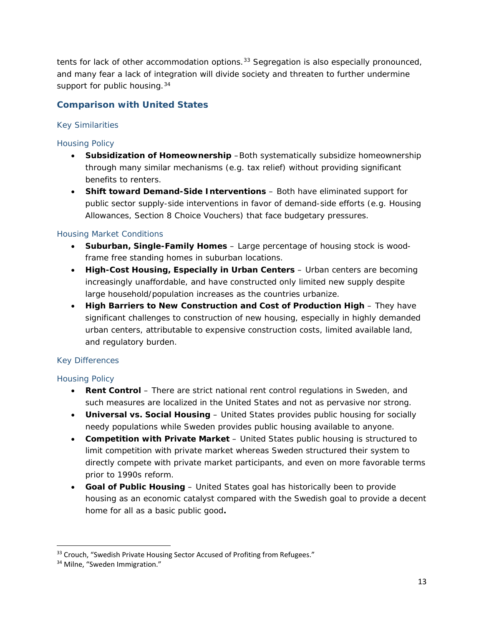tents for lack of other accommodation options.<sup>33</sup> Segregation is also especially pronounced, and many fear a lack of integration will divide society and threaten to further undermine support for public housing.<sup>[34](#page-13-4)</sup>

# <span id="page-13-0"></span>**Comparison with United States**

# <span id="page-13-1"></span>*Key Similarities*

# Housing Policy

- **Subsidization of Homeownership** –Both systematically subsidize homeownership through many similar mechanisms (e.g. tax relief) without providing significant benefits to renters.
- **Shift toward Demand-Side Interventions** Both have eliminated support for public sector supply-side interventions in favor of demand-side efforts (e.g. Housing Allowances, Section 8 Choice Vouchers) that face budgetary pressures.

# Housing Market Conditions

- **Suburban, Single-Family Homes**  Large percentage of housing stock is woodframe free standing homes in suburban locations.
- **High-Cost Housing, Especially in Urban Centers**  Urban centers are becoming increasingly unaffordable, and have constructed only limited new supply despite large household/population increases as the countries urbanize.
- **High Barriers to New Construction and Cost of Production High They have** significant challenges to construction of new housing, especially in highly demanded urban centers, attributable to expensive construction costs, limited available land, and regulatory burden.

# <span id="page-13-2"></span>*Key Differences*

# Housing Policy

- **Rent Control** There are strict national rent control regulations in Sweden, and such measures are localized in the United States and not as pervasive nor strong.
- **Universal vs. Social Housing**  United States provides public housing for socially needy populations while Sweden provides public housing available to anyone.
- **Competition with Private Market**  United States public housing is structured to limit competition with private market whereas Sweden structured their system to directly compete with private market participants, and even on more favorable terms prior to 1990s reform.
- **Goal of Public Housing**  United States goal has historically been to provide housing as an economic catalyst compared with the Swedish goal to provide a decent home for all as a basic public good**.**

<span id="page-13-3"></span><sup>&</sup>lt;sup>33</sup> Crouch, "Swedish Private Housing Sector Accused of Profiting from Refugees."

<span id="page-13-4"></span><sup>&</sup>lt;sup>34</sup> Milne, "Sweden Immigration."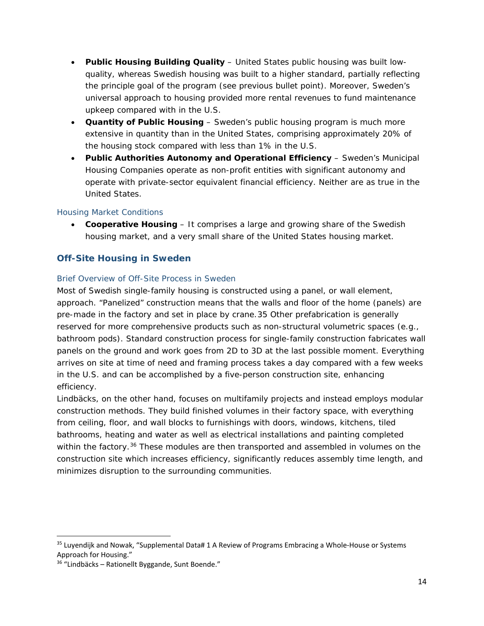- **Public Housing Building Quality**  United States public housing was built lowquality, whereas Swedish housing was built to a higher standard, partially reflecting the principle goal of the program (see previous bullet point). Moreover, Sweden's universal approach to housing provided more rental revenues to fund maintenance upkeep compared with in the U.S.
- **Quantity of Public Housing**  Sweden's public housing program is much more extensive in quantity than in the United States, comprising approximately 20% of the housing stock compared with less than 1% in the U.S.
- **Public Authorities Autonomy and Operational Efficiency**  Sweden's Municipal Housing Companies operate as non-profit entities with significant autonomy and operate with private-sector equivalent financial efficiency. Neither are as true in the United States.

# *Housing Market Conditions*

• **Cooperative Housing** – It comprises a large and growing share of the Swedish housing market, and a very small share of the United States housing market.

# <span id="page-14-0"></span>**Off-Site Housing in Sweden**

# <span id="page-14-1"></span>*Brief Overview of Off-Site Process in Sweden*

Most of Swedish single-family housing is constructed using a panel, or wall element, approach. "Panelized" construction means that the walls and floor of the home (panels) are pre-made in the factory and set in place by crane.[35](#page-14-2) Other prefabrication is generally reserved for more comprehensive products such as non-structural volumetric spaces (e.g., bathroom pods). Standard construction process for single-family construction fabricates wall panels on the ground and work goes from 2D to 3D at the last possible moment. Everything arrives on site at time of need and framing process takes a day compared with a few weeks in the U.S. and can be accomplished by a five-person construction site, enhancing efficiency.

Lindbäcks, on the other hand, focuses on multifamily projects and instead employs modular construction methods. They build finished volumes in their factory space, with everything from ceiling, floor, and wall blocks to furnishings with doors, windows, kitchens, tiled bathrooms, heating and water as well as electrical installations and painting completed within the factory.<sup>[36](#page-14-3)</sup> These modules are then transported and assembled in volumes on the construction site which increases efficiency, significantly reduces assembly time length, and minimizes disruption to the surrounding communities.

<span id="page-14-2"></span><sup>&</sup>lt;sup>35</sup> Luyendijk and Nowak, "Supplemental Data# 1 A Review of Programs Embracing a Whole-House or Systems Approach for Housing."

<span id="page-14-3"></span><sup>36</sup> "Lindbäcks – Rationellt Byggande, Sunt Boende."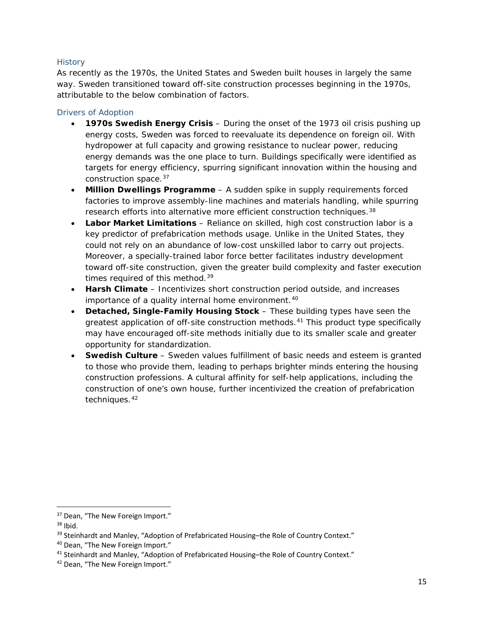## <span id="page-15-0"></span>**History**

As recently as the 1970s, the United States and Sweden built houses in largely the same way. Sweden transitioned toward off-site construction processes beginning in the 1970s, attributable to the below combination of factors.

# <span id="page-15-1"></span>Drivers of Adoption

- **1970s Swedish Energy Crisis**  During the onset of the 1973 oil crisis pushing up energy costs, Sweden was forced to reevaluate its dependence on foreign oil. With hydropower at full capacity and growing resistance to nuclear power, reducing energy demands was the one place to turn. Buildings specifically were identified as targets for energy efficiency, spurring significant innovation within the housing and construction space.[37](#page-15-2)
- **Million Dwellings Programme**  A sudden spike in supply requirements forced factories to improve assembly-line machines and materials handling, while spurring research efforts into alternative more efficient construction techniques.<sup>[38](#page-15-3)</sup>
- **Labor Market Limitations**  Reliance on skilled, high cost construction labor is a key predictor of prefabrication methods usage. Unlike in the United States, they could not rely on an abundance of low-cost unskilled labor to carry out projects. Moreover, a specially-trained labor force better facilitates industry development toward off-site construction, given the greater build complexity and faster execution times required of this method.<sup>[39](#page-15-4)</sup>
- **Harsh Climate**  Incentivizes short construction period outside, and increases importance of a quality internal home environment.<sup>[40](#page-15-5)</sup>
- **Detached, Single-Family Housing Stock**  These building types have seen the greatest application of off-site construction methods.<sup>[41](#page-15-6)</sup> This product type specifically may have encouraged off-site methods initially due to its smaller scale and greater opportunity for standardization.
- **Swedish Culture**  Sweden values fulfillment of basic needs and esteem is granted to those who provide them, leading to perhaps brighter minds entering the housing construction professions. A cultural affinity for self-help applications, including the construction of one's own house, further incentivized the creation of prefabrication techniques.<sup>[42](#page-15-7)</sup>

<span id="page-15-2"></span><sup>&</sup>lt;sup>37</sup> Dean, "The New Foreign Import."

<span id="page-15-3"></span> $38$  Ibid.

<span id="page-15-4"></span><sup>&</sup>lt;sup>39</sup> Steinhardt and Manley, "Adoption of Prefabricated Housing-the Role of Country Context."

<span id="page-15-5"></span><sup>40</sup> Dean, "The New Foreign Import."

<span id="page-15-6"></span><sup>41</sup> Steinhardt and Manley, "Adoption of Prefabricated Housing–the Role of Country Context."

<span id="page-15-7"></span><sup>42</sup> Dean, "The New Foreign Import."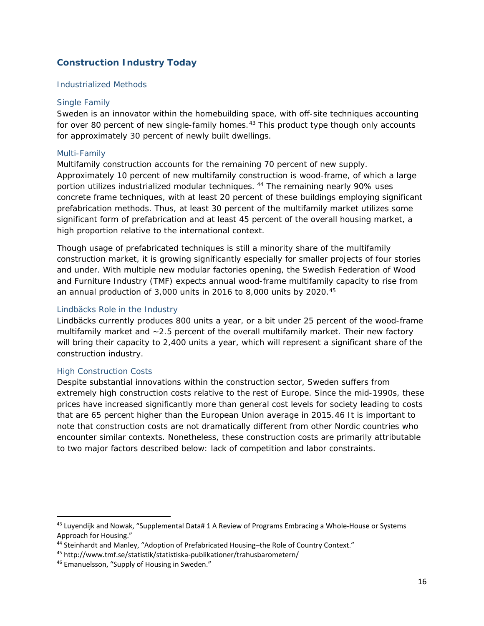# <span id="page-16-0"></span>**Construction Industry Today**

## <span id="page-16-1"></span>*Industrialized Methods*

#### Single Family

Sweden is an innovator within the homebuilding space, with off-site techniques accounting for over 80 percent of new single-family homes.<sup>[43](#page-16-3)</sup> This product type though only accounts for approximately 30 percent of newly built dwellings.

#### *Multi-Family*

Multifamily construction accounts for the remaining 70 percent of new supply. Approximately 10 percent of new multifamily construction is wood-frame, of which a large portion utilizes industrialized modular techniques. [44](#page-16-4) The remaining nearly 90% uses concrete frame techniques, with at least 20 percent of these buildings employing significant prefabrication methods. Thus, at least 30 percent of the multifamily market utilizes some significant form of prefabrication and at least 45 percent of the overall housing market, a high proportion relative to the international context.

Though usage of prefabricated techniques is still a minority share of the multifamily construction market, it is growing significantly especially for smaller projects of four stories and under. With multiple new modular factories opening, the Swedish Federation of Wood and Furniture Industry (TMF) expects annual wood-frame multifamily capacity to rise from an annual production of  $3,000$  units in 2016 to  $8,000$  units by 2020.<sup>[45](#page-16-5)</sup>

## Lindbäcks Role in the Industry

Lindbäcks currently produces 800 units a year, or a bit under 25 percent of the wood-frame multifamily market and ~2.5 percent of the overall multifamily market. Their new factory will bring their capacity to 2,400 units a year, which will represent a significant share of the construction industry.

## <span id="page-16-2"></span>*High Construction Costs*

Despite substantial innovations within the construction sector, Sweden suffers from extremely high construction costs relative to the rest of Europe. Since the mid-1990s, these prices have increased significantly more than general cost levels for society leading to costs that are 65 percent higher than the European Union average in 2015.[46](#page-16-6) It is important to note that construction costs are not dramatically different from other Nordic countries who encounter similar contexts. Nonetheless, these construction costs are primarily attributable to two major factors described below: lack of competition and labor constraints.

<span id="page-16-3"></span><sup>&</sup>lt;sup>43</sup> Luyendijk and Nowak, "Supplemental Data# 1 A Review of Programs Embracing a Whole-House or Systems Approach for Housing."

<span id="page-16-4"></span><sup>44</sup> Steinhardt and Manley, "Adoption of Prefabricated Housing–the Role of Country Context."

<span id="page-16-5"></span><sup>45</sup> http://www.tmf.se/statistik/statistiska-publikationer/trahusbarometern/

<span id="page-16-6"></span><sup>46</sup> Emanuelsson, "Supply of Housing in Sweden."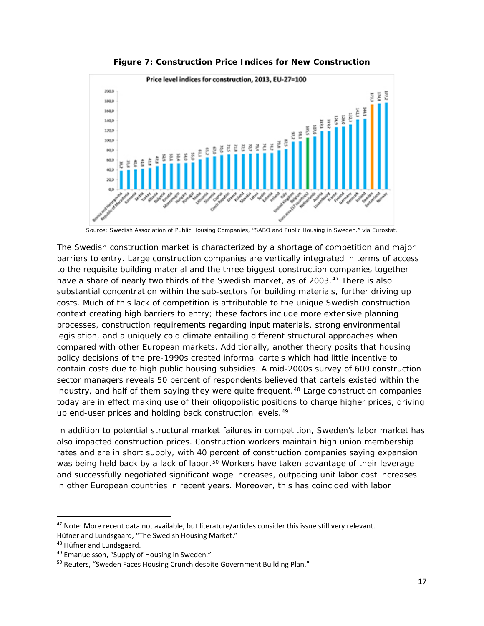

**Figure 7: Construction Price Indices for New Construction**

The Swedish construction market is characterized by a shortage of competition and major barriers to entry. Large construction companies are vertically integrated in terms of access to the requisite building material and the three biggest construction companies together have a share of nearly two thirds of the Swedish market, as of 2003.<sup>[47](#page-17-0)</sup> There is also substantial concentration within the sub-sectors for building materials, further driving up costs. Much of this lack of competition is attributable to the unique Swedish construction context creating high barriers to entry; these factors include more extensive planning processes, construction requirements regarding input materials, strong environmental legislation, and a uniquely cold climate entailing different structural approaches when compared with other European markets. Additionally, another theory posits that housing policy decisions of the pre-1990s created informal cartels which had little incentive to contain costs due to high public housing subsidies. A mid-2000s survey of 600 construction sector managers reveals 50 percent of respondents believed that cartels existed within the industry, and half of them saying they were quite frequent.<sup>[48](#page-17-1)</sup> Large construction companies today are in effect making use of their oligopolistic positions to charge higher prices, driving up end-user prices and holding back construction levels.<sup>[49](#page-17-2)</sup>

In addition to potential structural market failures in competition, Sweden's labor market has also impacted construction prices. Construction workers maintain high union membership rates and are in short supply, with 40 percent of construction companies saying expansion was being held back by a lack of labor.<sup>[50](#page-17-3)</sup> Workers have taken advantage of their leverage and successfully negotiated significant wage increases, outpacing unit labor cost increases in other European countries in recent years. Moreover, this has coincided with labor

*Source: Swedish Association of Public Housing Companies, "SABO and Public Housing in Sweden." via Eurostat.*

<span id="page-17-0"></span><sup>&</sup>lt;sup>47</sup> Note: More recent data not available, but literature/articles consider this issue still very relevant.

Hüfner and Lundsgaard, "The Swedish Housing Market."

<span id="page-17-1"></span><sup>48</sup> Hüfner and Lundsgaard.

<span id="page-17-2"></span><sup>49</sup> Emanuelsson, "Supply of Housing in Sweden."

<span id="page-17-3"></span><sup>50</sup> Reuters, "Sweden Faces Housing Crunch despite Government Building Plan."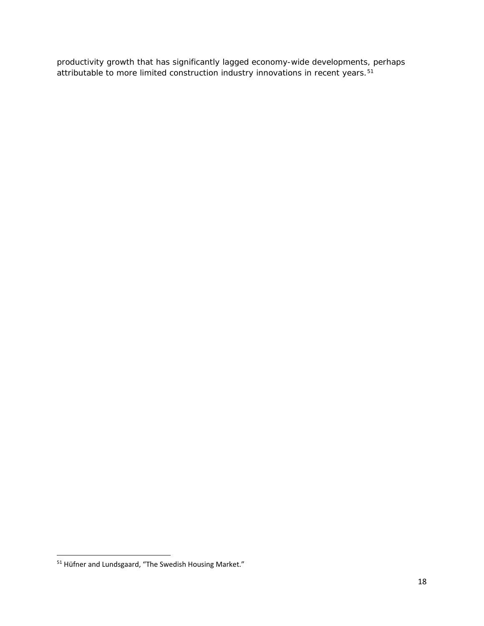productivity growth that has significantly lagged economy-wide developments, perhaps attributable to more limited construction industry innovations in recent years.[51](#page-18-0)

<span id="page-18-0"></span> <sup>51</sup> Hüfner and Lundsgaard, "The Swedish Housing Market."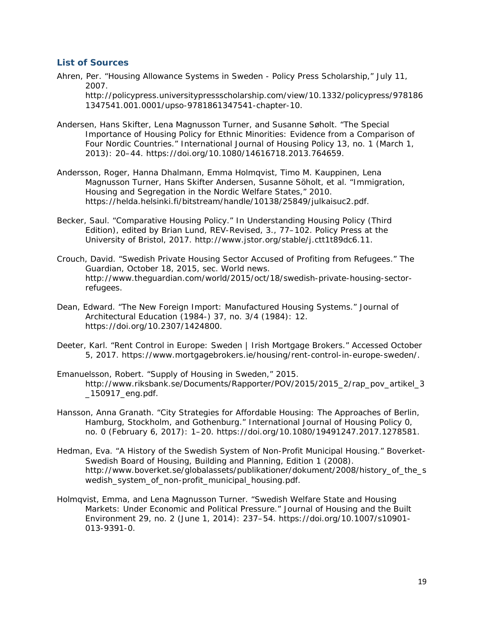## <span id="page-19-0"></span>**List of Sources**

Ahren, Per. "Housing Allowance Systems in Sweden - Policy Press Scholarship," July 11, 2007.

http://policypress.universitypressscholarship.com/view/10.1332/policypress/978186 1347541.001.0001/upso-9781861347541-chapter-10.

- Andersen, Hans Skifter, Lena Magnusson Turner, and Susanne Søholt. "The Special Importance of Housing Policy for Ethnic Minorities: Evidence from a Comparison of Four Nordic Countries." *International Journal of Housing Policy* 13, no. 1 (March 1, 2013): 20–44. https://doi.org/10.1080/14616718.2013.764659.
- Andersson, Roger, Hanna Dhalmann, Emma Holmqvist, Timo M. Kauppinen, Lena Magnusson Turner, Hans Skifter Andersen, Susanne Söholt, et al. "Immigration, Housing and Segregation in the Nordic Welfare States," 2010. https://helda.helsinki.fi/bitstream/handle/10138/25849/julkaisuc2.pdf.
- Becker, Saul. "Comparative Housing Policy." In *Understanding Housing Policy (Third Edition)*, edited by Brian Lund, REV-Revised, 3., 77–102. Policy Press at the University of Bristol, 2017. http://www.jstor.org/stable/j.ctt1t89dc6.11.
- Crouch, David. "Swedish Private Housing Sector Accused of Profiting from Refugees." *The Guardian*, October 18, 2015, sec. World news. http://www.theguardian.com/world/2015/oct/18/swedish-private-housing-sectorrefugees.
- Dean, Edward. "The New Foreign Import: Manufactured Housing Systems." *Journal of Architectural Education (1984-)* 37, no. 3/4 (1984): 12. https://doi.org/10.2307/1424800.
- Deeter, Karl. "Rent Control in Europe: Sweden | Irish Mortgage Brokers." Accessed October 5, 2017. https://www.mortgagebrokers.ie/housing/rent-control-in-europe-sweden/.
- Emanuelsson, Robert. "Supply of Housing in Sweden," 2015. http://www.riksbank.se/Documents/Rapporter/POV/2015/2015\_2/rap\_pov\_artikel\_3\_ \_150917\_eng.pdf.
- Hansson, Anna Granath. "City Strategies for Affordable Housing: The Approaches of Berlin, Hamburg, Stockholm, and Gothenburg." *International Journal of Housing Policy* 0, no. 0 (February 6, 2017): 1–20. https://doi.org/10.1080/19491247.2017.1278581.
- Hedman, Eva. "A History of the Swedish System of Non-Profit Municipal Housing." *Boverket-Swedish Board of Housing, Building and Planning, Edition* 1 (2008). http://www.boverket.se/globalassets/publikationer/dokument/2008/history\_of\_the\_s wedish system of non-profit municipal housing.pdf.
- Holmqvist, Emma, and Lena Magnusson Turner. "Swedish Welfare State and Housing Markets: Under Economic and Political Pressure." *Journal of Housing and the Built Environment* 29, no. 2 (June 1, 2014): 237–54. https://doi.org/10.1007/s10901- 013-9391-0.